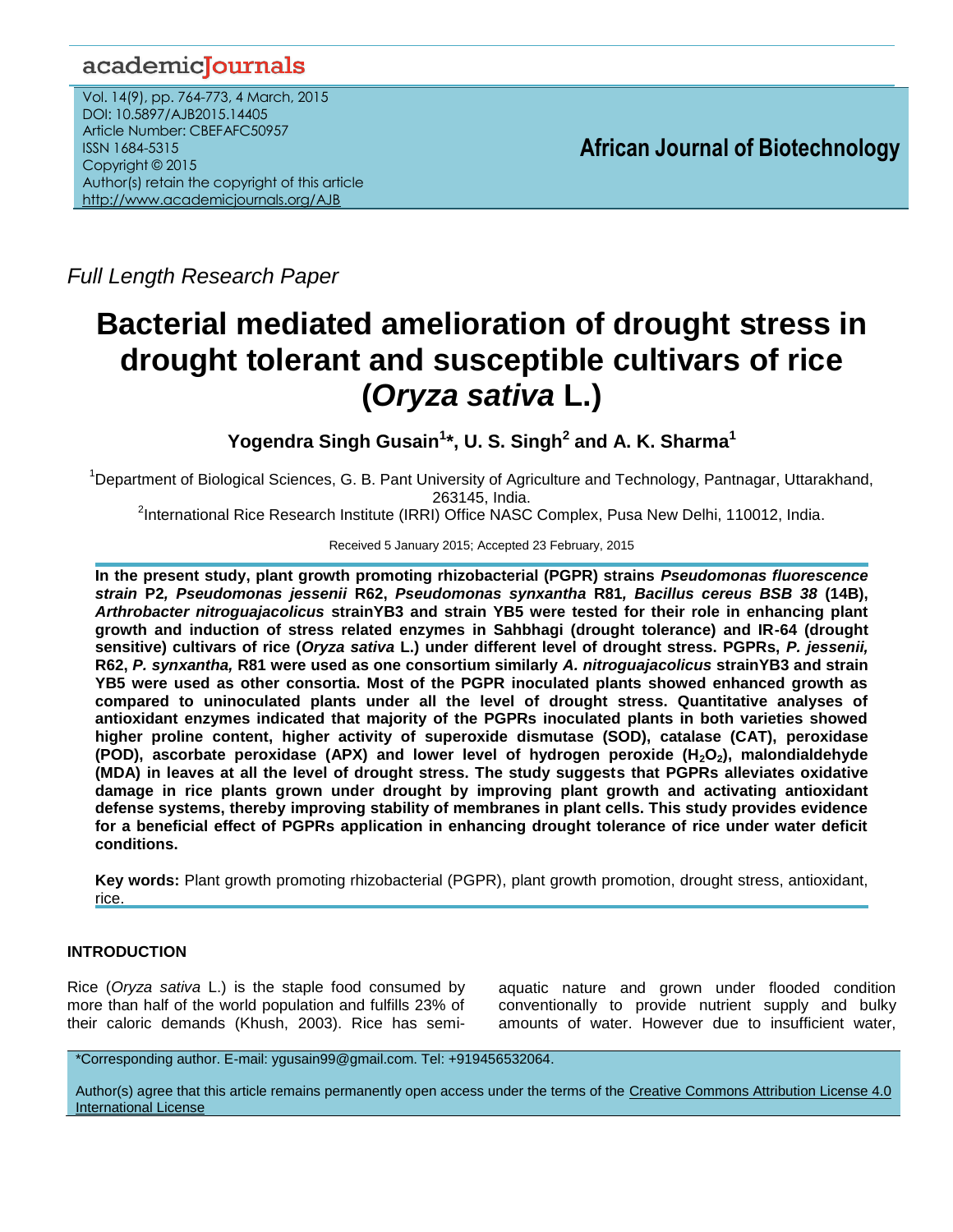# academicJournals

Vol. 14(9), pp. 764-773, 4 March, 2015 DOI: 10.5897/AJB2015.14405 Article Number: CBEFAFC50957 ISSN 1684-5315 Copyright © 2015 Author(s) retain the copyright of this article <http://www.academicjournals.org/AJB>

**African Journal of Biotechnology**

*Full Length Research Paper*

# **Bacterial mediated amelioration of drought stress in drought tolerant and susceptible cultivars of rice (***Oryza sativa* **L.)**

**Yogendra Singh Gusain<sup>1</sup> \*, U. S. Singh<sup>2</sup> and A. K. Sharma<sup>1</sup>**

<sup>1</sup>Department of Biological Sciences, G. B. Pant University of Agriculture and Technology, Pantnagar, Uttarakhand, 263145, India.

<sup>2</sup>International Rice Research Institute (IRRI) Office NASC Complex, Pusa New Delhi, 110012, India.

Received 5 January 2015; Accepted 23 February, 2015

**In the present study, plant growth promoting rhizobacterial (PGPR) strains** *Pseudomonas fluorescence strain* **P2***, Pseudomonas jessenii* **R62,** *Pseudomonas synxantha* **R81***, Bacillus cereus BSB 38* **(14B),**  *Arthrobacter nitroguajacolicus* **strainYB3 and strain YB5 were tested for their role in enhancing plant growth and induction of stress related enzymes in Sahbhagi (drought tolerance) and IR-64 (drought sensitive) cultivars of rice (***Oryza sativa* **L.) under different level of drought stress. PGPRs,** *P. jessenii,*  **R62,** *P. synxantha,* **R81 were used as one consortium similarly** *A. nitroguajacolicus* **strainYB3 and strain YB5 were used as other consortia. Most of the PGPR inoculated plants showed enhanced growth as compared to uninoculated plants under all the level of drought stress. Quantitative analyses of antioxidant enzymes indicated that majority of the PGPRs inoculated plants in both varieties showed higher proline content, higher activity of superoxide dismutase (SOD), catalase (CAT), peroxidase (POD), ascorbate peroxidase (APX) and lower level of hydrogen peroxide (H2O2), malondialdehyde (MDA) in leaves at all the level of drought stress. The study suggests that PGPRs alleviates oxidative damage in rice plants grown under drought by improving plant growth and activating antioxidant defense systems, thereby improving stability of membranes in plant cells. This study provides evidence for a beneficial effect of PGPRs application in enhancing drought tolerance of rice under water deficit conditions.**

**Key words:** Plant growth promoting rhizobacterial (PGPR), plant growth promotion, drought stress, antioxidant, rice.

# **INTRODUCTION**

Rice (*Oryza sativa* L.) is the staple food consumed by more than half of the world population and fulfills 23% of their caloric demands (Khush, 2003). Rice has semi-

aquatic nature and grown under flooded condition conventionally to provide nutrient supply and bulky amounts of water. However due to insufficient water,

\*Corresponding author. E-mail: ygusain99@gmail.com. Tel: +919456532064.

Author(s) agree that this article remains permanently open access under the terms of the [Creative Commons Attribution License 4.0](http://creativecommons.org/licenses/by/4.0/deed.en_US)  [International License](http://creativecommons.org/licenses/by/4.0/deed.en_US)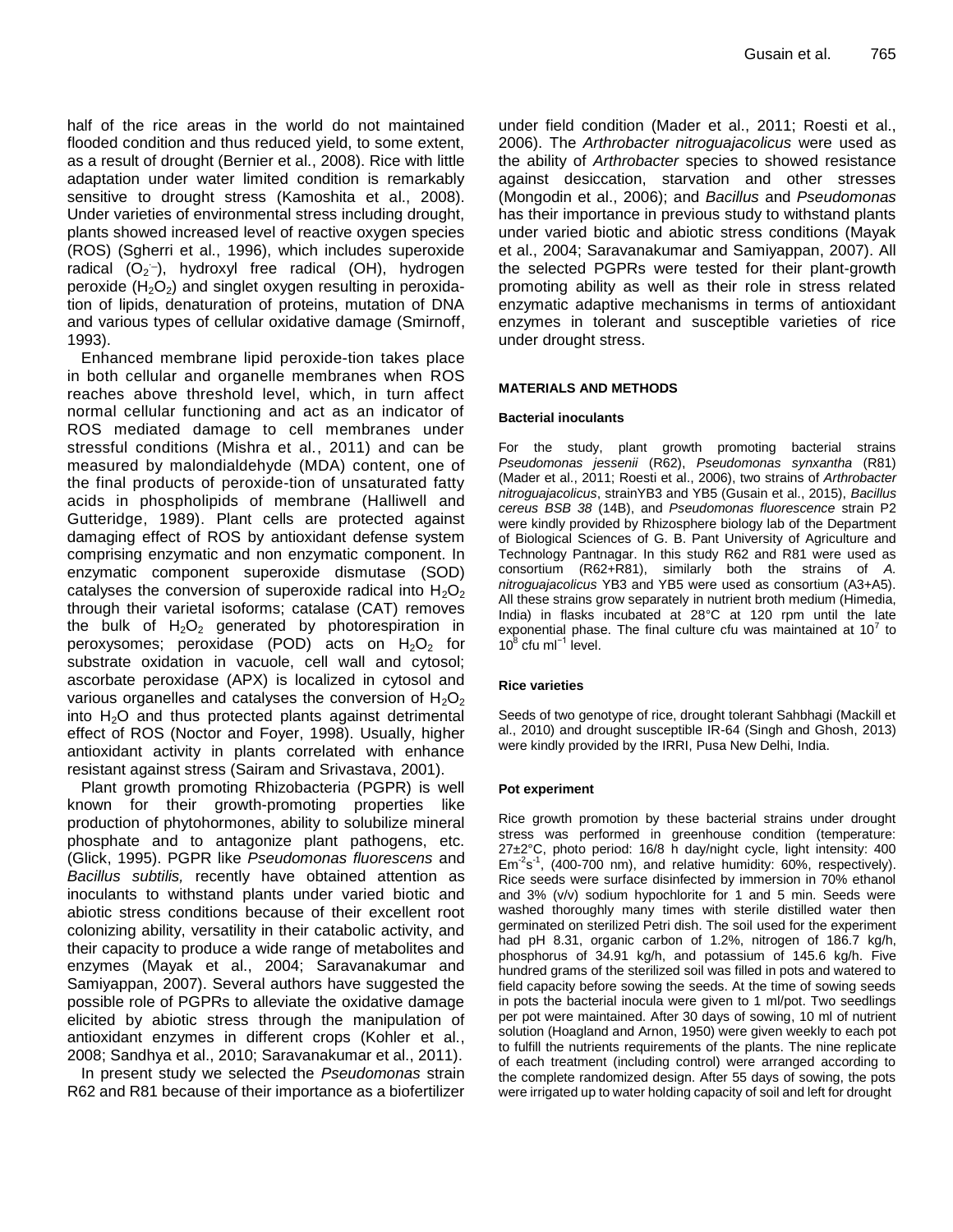half of the rice areas in the world do not maintained flooded condition and thus reduced yield, to some extent, as a result of drought (Bernier et al., 2008). Rice with little adaptation under water limited condition is remarkably sensitive to drought stress (Kamoshita et al., 2008). Under varieties of environmental stress including drought, plants showed increased level of reactive oxygen species (ROS) (Sgherri et al., 1996), which includes superoxide radical  $(O_2^-)$ , hydroxyl free radical (OH), hydrogen peroxide  $(H_2O_2)$  and singlet oxygen resulting in peroxidation of lipids, denaturation of proteins, mutation of DNA and various types of cellular oxidative damage (Smirnoff, 1993).

Enhanced membrane lipid peroxide-tion takes place in both cellular and organelle membranes when ROS reaches above threshold level, which, in turn affect normal cellular functioning and act as an indicator of ROS mediated damage to cell membranes under stressful conditions (Mishra et al., 2011) and can be measured by malondialdehyde (MDA) content, one of the final products of peroxide-tion of unsaturated fatty acids in phospholipids of membrane (Halliwell and Gutteridge, 1989). Plant cells are protected against damaging effect of ROS by antioxidant defense system comprising enzymatic and non enzymatic component. In enzymatic component superoxide dismutase (SOD) catalyses the conversion of superoxide radical into  $H_2O_2$ through their varietal isoforms; catalase (CAT) removes the bulk of  $H_2O_2$  generated by photorespiration in peroxysomes; peroxidase (POD) acts on  $H_2O_2$  for substrate oxidation in vacuole, cell wall and cytosol; ascorbate peroxidase (APX) is localized in cytosol and various organelles and catalyses the conversion of  $H_2O_2$ into  $H<sub>2</sub>O$  and thus protected plants against detrimental effect of ROS (Noctor and Foyer, 1998). Usually, higher antioxidant activity in plants correlated with enhance resistant against stress (Sairam and Srivastava, 2001).

Plant growth promoting Rhizobacteria (PGPR) is well known for their growth-promoting properties like production of phytohormones, ability to solubilize mineral phosphate and to antagonize plant pathogens, etc. (Glick, 1995). PGPR like *Pseudomonas fluorescens* and *Bacillus subtilis,* recently have obtained attention as inoculants to withstand plants under varied biotic and abiotic stress conditions because of their excellent root colonizing ability, versatility in their catabolic activity, and their capacity to produce a wide range of metabolites and enzymes (Mayak et al., 2004; Saravanakumar and Samiyappan, 2007). Several authors have suggested the possible role of PGPRs to alleviate the oxidative damage elicited by abiotic stress through the manipulation of antioxidant enzymes in different crops (Kohler et al., 2008; Sandhya et al., 2010; Saravanakumar et al., 2011).

In present study we selected the *Pseudomonas* strain R62 and R81 because of their importance as a biofertilizer under field condition (Mader et al., 2011; Roesti et al., 2006). The *Arthrobacter nitroguajacolicus* were used as the ability of *Arthrobacter* species to showed resistance against desiccation, starvation and other stresses (Mongodin et al., 2006); and *Bacillus* and *Pseudomonas* has their importance in previous study to withstand plants under varied biotic and abiotic stress conditions (Mayak et al., 2004; Saravanakumar and Samiyappan, 2007). All the selected PGPRs were tested for their plant-growth promoting ability as well as their role in stress related enzymatic adaptive mechanisms in terms of antioxidant enzymes in tolerant and susceptible varieties of rice under drought stress.

#### **MATERIALS AND METHODS**

#### **Bacterial inoculants**

For the study, plant growth promoting bacterial strains *Pseudomonas jessenii* (R62), *Pseudomonas synxantha* (R81) (Mader et al., 2011; Roesti et al., 2006), two strains of *Arthrobacter nitroguajacolicus*, strainYB3 and YB5 (Gusain et al., 2015), *Bacillus cereus BSB 38* (14B), and *Pseudomonas fluorescence* strain P2 were kindly provided by Rhizosphere biology lab of the Department of Biological Sciences of G. B. Pant University of Agriculture and Technology Pantnagar. In this study R62 and R81 were used as consortium (R62+R81), similarly both the strains of *A. nitroguajacolicus* YB3 and YB5 were used as consortium (A3+A5). All these strains grow separately in nutrient broth medium (Himedia, India) in flasks incubated at 28°C at 120 rpm until the late exponential phase. The final culture cfu was maintained at  $10^7$  to 10<sup>8</sup> cfu ml<sup>-1</sup> level.

#### **Rice varieties**

Seeds of two genotype of rice, drought tolerant Sahbhagi (Mackill et al., 2010) and drought susceptible IR-64 (Singh and Ghosh, 2013) were kindly provided by the IRRI, Pusa New Delhi, India.

#### **Pot experiment**

Rice growth promotion by these bacterial strains under drought stress was performed in greenhouse condition (temperature: 27±2°C, photo period: 16/8 h day/night cycle, light intensity: 400  $Em<sup>2</sup>s<sup>-1</sup>$ , (400-700 nm), and relative humidity: 60%, respectively). Rice seeds were surface disinfected by immersion in 70% ethanol and 3% (v/v) sodium hypochlorite for 1 and 5 min. Seeds were washed thoroughly many times with sterile distilled water then germinated on sterilized Petri dish. The soil used for the experiment had pH 8.31, organic carbon of 1.2%, nitrogen of 186.7 kg/h, phosphorus of 34.91 kg/h, and potassium of 145.6 kg/h. Five hundred grams of the sterilized soil was filled in pots and watered to field capacity before sowing the seeds. At the time of sowing seeds in pots the bacterial inocula were given to 1 ml/pot. Two seedlings per pot were maintained. After 30 days of sowing, 10 ml of nutrient solution (Hoagland and Arnon, 1950) were given weekly to each pot to fulfill the nutrients requirements of the plants. The nine replicate of each treatment (including control) were arranged according to the complete randomized design. After 55 days of sowing, the pots were irrigated up to water holding capacity of soil and left for drought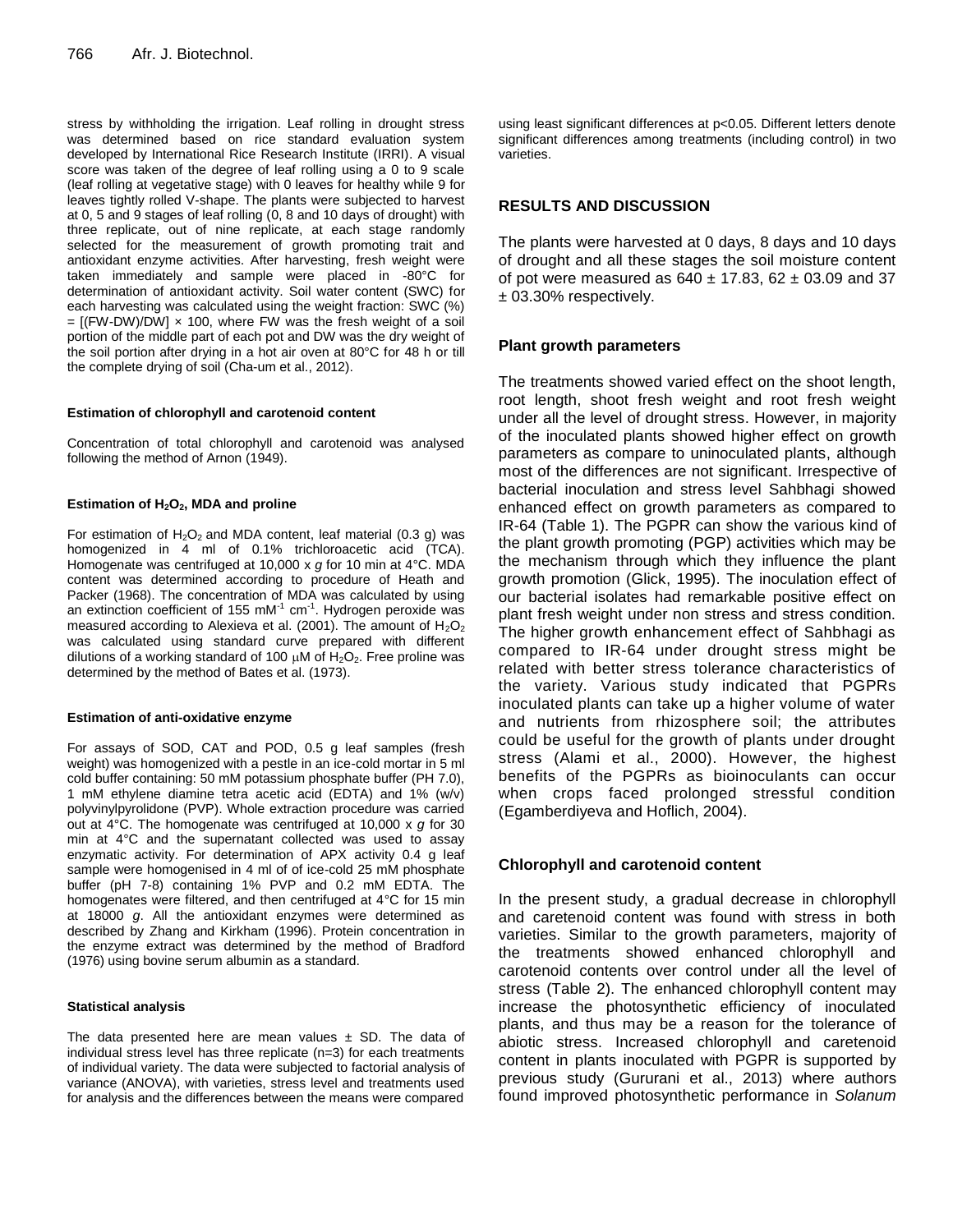stress by withholding the irrigation. Leaf rolling in drought stress was determined based on rice standard evaluation system developed by International Rice Research Institute (IRRI). A visual score was taken of the degree of leaf rolling using a 0 to 9 scale (leaf rolling at vegetative stage) with 0 leaves for healthy while 9 for leaves tightly rolled V-shape. The plants were subjected to harvest at 0, 5 and 9 stages of leaf rolling (0, 8 and 10 days of drought) with three replicate, out of nine replicate, at each stage randomly selected for the measurement of growth promoting trait and antioxidant enzyme activities. After harvesting, fresh weight were taken immediately and sample were placed in -80°C for determination of antioxidant activity. Soil water content (SWC) for each harvesting was calculated using the weight fraction: SWC (%)  $=$  [(FW-DW)/DW]  $\times$  100, where FW was the fresh weight of a soil portion of the middle part of each pot and DW was the dry weight of the soil portion after drying in a hot air oven at 80°C for 48 h or till the complete drying of soil (Cha-um et al., 2012).

#### **Estimation of chlorophyll and carotenoid content**

Concentration of total chlorophyll and carotenoid was analysed following the method of Arnon (1949).

#### **Estimation of H2O2, MDA and proline**

For estimation of  $H_2O_2$  and MDA content, leaf material (0.3 g) was homogenized in 4 ml of 0.1% trichloroacetic acid (TCA). Homogenate was centrifuged at 10,000 x *g* for 10 min at 4°C. MDA content was determined according to procedure of Heath and Packer (1968). The concentration of MDA was calculated by using an extinction coefficient of 155 mM $1$  cm $1$ . Hydrogen peroxide was measured according to Alexieva et al. (2001). The amount of  $H_2O_2$ was calculated using standard curve prepared with different dilutions of a working standard of 100  $\mu$ M of H<sub>2</sub>O<sub>2</sub>. Free proline was determined by the method of Bates et al. (1973).

#### **Estimation of anti-oxidative enzyme**

For assays of SOD, CAT and POD, 0.5 g leaf samples (fresh weight) was homogenized with a pestle in an ice-cold mortar in 5 ml cold buffer containing: 50 mM potassium phosphate buffer (PH 7.0), 1 mM ethylene diamine tetra acetic acid (EDTA) and 1% (w/v) polyvinylpyrolidone (PVP). Whole extraction procedure was carried out at 4°C. The homogenate was centrifuged at 10,000 x *g* for 30 min at 4°C and the supernatant collected was used to assay enzymatic activity. For determination of APX activity 0.4 g leaf sample were homogenised in 4 ml of of ice-cold 25 mM phosphate buffer (pH 7-8) containing 1% PVP and 0.2 mM EDTA. The homogenates were filtered, and then centrifuged at 4°C for 15 min at 18000 *g*. All the antioxidant enzymes were determined as described by Zhang and Kirkham (1996). Protein concentration in the enzyme extract was determined by the method of Bradford (1976) using bovine serum albumin as a standard.

#### **Statistical analysis**

The data presented here are mean values  $\pm$  SD. The data of individual stress level has three replicate (n=3) for each treatments of individual variety. The data were subjected to factorial analysis of variance (ANOVA), with varieties, stress level and treatments used for analysis and the differences between the means were compared

using least significant differences at p<0.05. Different letters denote significant differences among treatments (including control) in two varieties.

# **RESULTS AND DISCUSSION**

The plants were harvested at 0 days, 8 days and 10 days of drought and all these stages the soil moisture content of pot were measured as  $640 \pm 17.83$ ,  $62 \pm 03.09$  and 37 ± 03.30% respectively.

# **Plant growth parameters**

The treatments showed varied effect on the shoot length, root length, shoot fresh weight and root fresh weight under all the level of drought stress. However, in majority of the inoculated plants showed higher effect on growth parameters as compare to uninoculated plants, although most of the differences are not significant. Irrespective of bacterial inoculation and stress level Sahbhagi showed enhanced effect on growth parameters as compared to IR-64 (Table 1). The PGPR can show the various kind of the plant growth promoting (PGP) activities which may be the mechanism through which they influence the plant growth promotion (Glick, 1995). The inoculation effect of our bacterial isolates had remarkable positive effect on plant fresh weight under non stress and stress condition. The higher growth enhancement effect of Sahbhagi as compared to IR-64 under drought stress might be related with better stress tolerance characteristics of the variety. Various study indicated that PGPRs inoculated plants can take up a higher volume of water and nutrients from rhizosphere soil; the attributes could be useful for the growth of plants under drought stress (Alami et al., 2000). However, the highest benefits of the PGPRs as bioinoculants can occur when crops faced prolonged stressful condition (Egamberdiyeva and Hoflich, 2004).

# **Chlorophyll and carotenoid content**

In the present study, a gradual decrease in chlorophyll and caretenoid content was found with stress in both varieties. Similar to the growth parameters, majority of the treatments showed enhanced chlorophyll and carotenoid contents over control under all the level of stress (Table 2). The enhanced chlorophyll content may increase the photosynthetic efficiency of inoculated plants, and thus may be a reason for the tolerance of abiotic stress. Increased chlorophyll and caretenoid content in plants inoculated with PGPR is supported by previous study (Gururani et al., 2013) where authors found improved photosynthetic performance in *Solanum*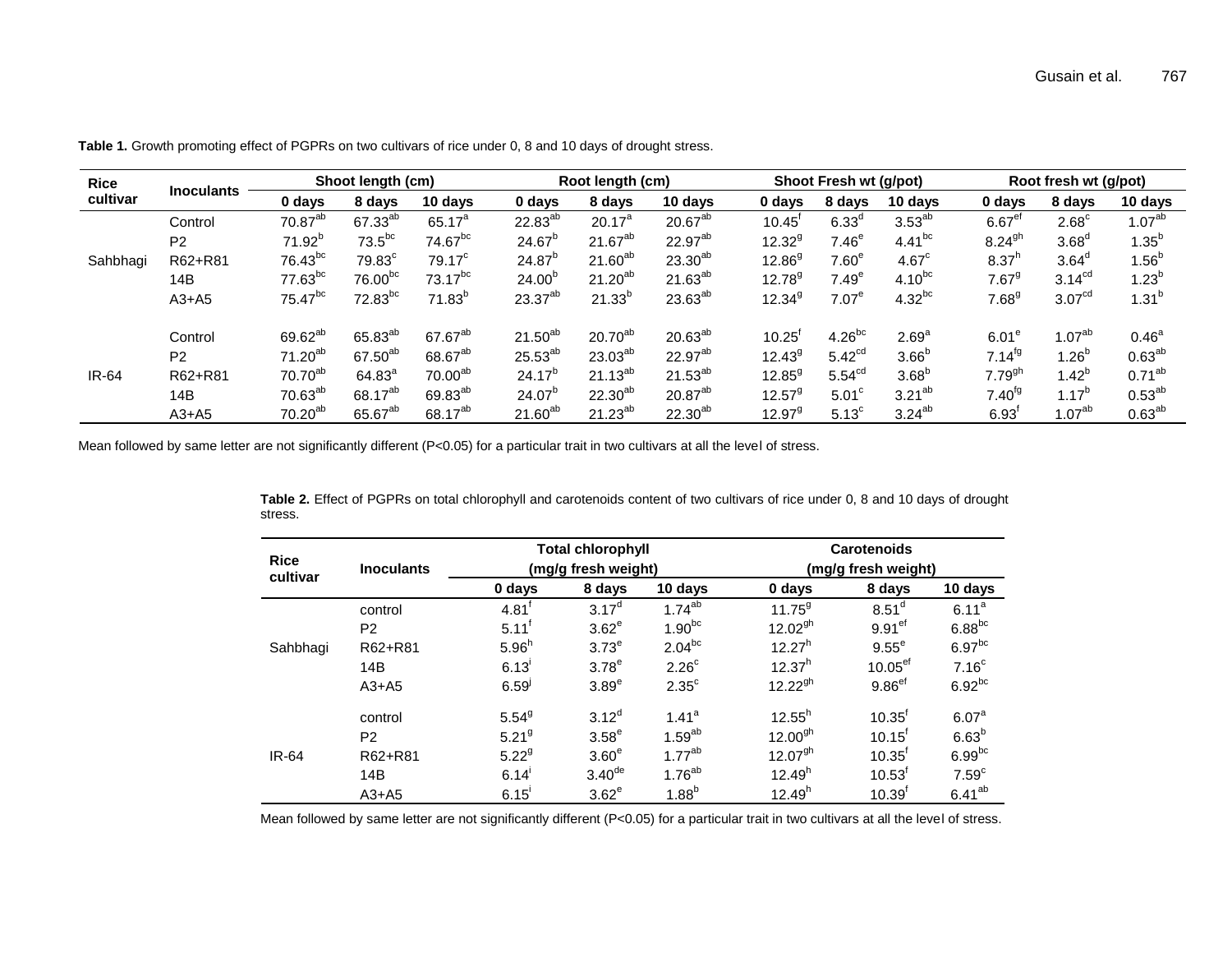| <b>Rice</b>  |                   |                     | Shoot length (cm)    |                     |              | Root length (cm) |                     |                      | Shoot Fresh wt (g/pot) |                   |                                  | Root fresh wt (g/pot) |                    |
|--------------|-------------------|---------------------|----------------------|---------------------|--------------|------------------|---------------------|----------------------|------------------------|-------------------|----------------------------------|-----------------------|--------------------|
| cultivar     | <b>Inoculants</b> | 0 days              | 8 days               | 10 days             | 0 days       | 8 days           | 10 days             | 0 days               | 8 days                 | 10 days           | 0 days                           | 8 days                | 10 days            |
|              | Control           | 70.87 <sup>ab</sup> | 67.33 <sup>ab</sup>  | $65.17^{a}$         | $22.83^{ab}$ | $20.17^a$        | $20.67^{ab}$        | $10.45^{\circ}$      | $6.33^\circ$           | $3.53^{ab}$       | $6.67$ <sup>ef</sup>             | $2.68^{\circ}$        | 1.07 <sup>ab</sup> |
|              | P <sub>2</sub>    | $71.92^{b}$         | $73.5^{bc}$          | 74.67 <sup>bc</sup> | $24.67^{b}$  | $21.67^{ab}$     | 22.97 <sup>ab</sup> | $12.32^{9}$          | 7.46 <sup>e</sup>      | $4.41^{bc}$       | $8.24^{gh}$                      | $3.68^\circ$          | $1.35^{b}$         |
| Sahbhagi     | R62+R81           | 76.43 <sup>bc</sup> | $79.83$ <sup>c</sup> | 79.17 <sup>c</sup>  | $24.87^{b}$  | $21.60^{ab}$     | $23.30^{ab}$        | $12.86^{9}$          | 7.60 <sup>e</sup>      | 4.67 <sup>c</sup> | 8.37 <sup>h</sup>                | 3.64 <sup>d</sup>     | $1.56^{b}$         |
|              | 14B               | $77.63^{bc}$        | 76.00 <sup>bc</sup>  | $73.17^{bc}$        | $24.00^{b}$  | $21.20^{ab}$     | $21.63^{ab}$        | $12.78^{9}$          | 7.49 <sup>e</sup>      | $4.10^{bc}$       | $7.67^9$                         | 3.14 <sup>cd</sup>    | $1.23^{b}$         |
|              | $A3+A5$           | 75.47 <sup>bc</sup> | 72.83 <sup>bc</sup>  | $71.83^{b}$         | $23.37^{ab}$ | $21.33^{b}$      | $23.63^{ab}$        | 12.34 <sup>9</sup>   | $7.07^e$               | $4.32^{bc}$       | 7.68 <sup>9</sup>                | 3.07 <sup>cd</sup>    | $1.31^{b}$         |
|              | Control           | 69.62 <sup>ab</sup> | 65.83 <sup>ab</sup>  | 67.67 <sup>ab</sup> | $21.50^{ab}$ | $20.70^{ab}$     | $20.63^{ab}$        | $10.25^{\mathrm{t}}$ | $4.26^{bc}$            | 2.69 <sup>a</sup> | 6.01 <sup>e</sup>                | 1.07 <sup>ab</sup>    | 0.46 <sup>a</sup>  |
|              | P <sub>2</sub>    | $71.20^{ab}$        | 67.50 <sup>ab</sup>  | 68.67 <sup>ab</sup> | $25.53^{ab}$ | $23.03^{ab}$     | 22.97 <sup>ab</sup> | $12.43^9$            | 5.42 <sup>cd</sup>     | 3.66 <sup>b</sup> | $7.14^{fg}$                      | 1.26 $^{\rm b}$       | $0.63^{ab}$        |
| <b>IR-64</b> | R62+R81           | $70.70^{ab}$        | $64.83^{a}$          | 70.00ab             | $24.17^{b}$  | $21.13^{ab}$     | $21.53^{ab}$        | $12.85^{9}$          | 5.54 <sup>cd</sup>     | 3.68 <sup>b</sup> | $7.79^{gh}$                      | $1.42^{b}$            | $0.71^{ab}$        |
|              | 14B               | $70.63^{ab}$        | 68.17 <sup>ab</sup>  | 69.83 <sup>ab</sup> | $24.07^{b}$  | $22.30^{ab}$     | 20.87 <sup>ab</sup> | $12.57^{9}$          | 5.01 <sup>c</sup>      | $3.21^{ab}$       | $7.40^{fg}$                      | $1.17^{b}$            | $0.53^{ab}$        |
|              | $A3+A5$           | $70.20^{ab}$        | 65.67 <sup>ab</sup>  | 68.17 <sup>ab</sup> | $21.60^{ab}$ | $21.23^{ab}$     | $22.30^{ab}$        | $12.97^9$            | 5.13 <sup>c</sup>      | $3.24^{ab}$       | $6.93$ <sup><math>"</math></sup> | 1.07 <sup>ab</sup>    | $0.63^{ab}$        |

**Table 1.** Growth promoting effect of PGPRs on two cultivars of rice under 0, 8 and 10 days of drought stress.

Mean followed by same letter are not significantly different (P<0.05) for a particular trait in two cultivars at all the level of stress.

|         |  | Table 2. Effect of PGPRs on total chlorophyll and carotenoids content of two cultivars of rice under 0, 8 and 10 days of drought |
|---------|--|----------------------------------------------------------------------------------------------------------------------------------|
| stress. |  |                                                                                                                                  |

| <b>Rice</b> | <b>Inoculants</b> |                     | <b>Total chlorophyll</b><br>(mg/g fresh weight) |                   | <b>Carotenoids</b><br>(mg/g fresh weight) |                       |                    |  |
|-------------|-------------------|---------------------|-------------------------------------------------|-------------------|-------------------------------------------|-----------------------|--------------------|--|
| cultivar    |                   | 0 days              | 8 days                                          | 10 days           | 0 days                                    | 8 days                | 10 days            |  |
| Sahbhagi    | control           | $4.81$ <sup>f</sup> | $3.17^{d}$                                      | $1.74^{ab}$       | $11.75^9$                                 | 8.51 <sup>d</sup>     | $6.11^a$           |  |
|             | P <sub>2</sub>    | $5.11^{\dagger}$    | 3.62 <sup>e</sup>                               | $1.90^{bc}$       | $12.02^{gh}$                              | 9.91 <sup>ef</sup>    | $6.88^{bc}$        |  |
|             | R62+R81           | 5.96 <sup>h</sup>   | 3.73 <sup>e</sup>                               | $2.04^{bc}$       | $12.27^h$                                 | $9.55^e$              | 6.97 <sup>bc</sup> |  |
|             | 14B               | $6.13^{1}$          | 3.78 <sup>e</sup>                               | 2.26 <sup>c</sup> | $12.37^{h}$                               | $10.05$ <sup>ef</sup> | 7.16 <sup>c</sup>  |  |
|             | $A3+A5$           | $6.59^{j}$          | 3.89 <sup>e</sup>                               | $2.35^{\circ}$    | $12.22^{gh}$                              | $9.86$ <sup>ef</sup>  | $6.92^{bc}$        |  |
| IR-64       | control           | $5.54^{9}$          | $3.12^{d}$                                      | 1.41 <sup>a</sup> | $12.55^{h}$                               | $10.35^{f}$           | 6.07 <sup>a</sup>  |  |
|             | P <sub>2</sub>    | 5.21 <sup>9</sup>   | 3.58 <sup>e</sup>                               | $1.59^{ab}$       | $12.00^{9h}$                              | $10.15$ <sup>t</sup>  | 6.63 <sup>b</sup>  |  |
|             | R62+R81           | $5.22^{9}$          | 3.60 <sup>e</sup>                               | $1.77^{ab}$       | $12.07^{9h}$                              | $10.35^{\text{f}}$    | 6.99 <sup>bc</sup> |  |
|             | 14B               | 6.14                | $3.40^{\text{de}}$                              | $1.76^{ab}$       | 12.49 <sup>h</sup>                        | $10.53$ <sup>t</sup>  | 7.59 <sup>c</sup>  |  |
|             | $A3+A5$           | 6.15                | 3.62 <sup>e</sup>                               | $1.88^{b}$        | 12.49 <sup>h</sup>                        | $10.39^{f}$           | $6.41^{ab}$        |  |

Mean followed by same letter are not significantly different (P<0.05) for a particular trait in two cultivars at all the level of stress.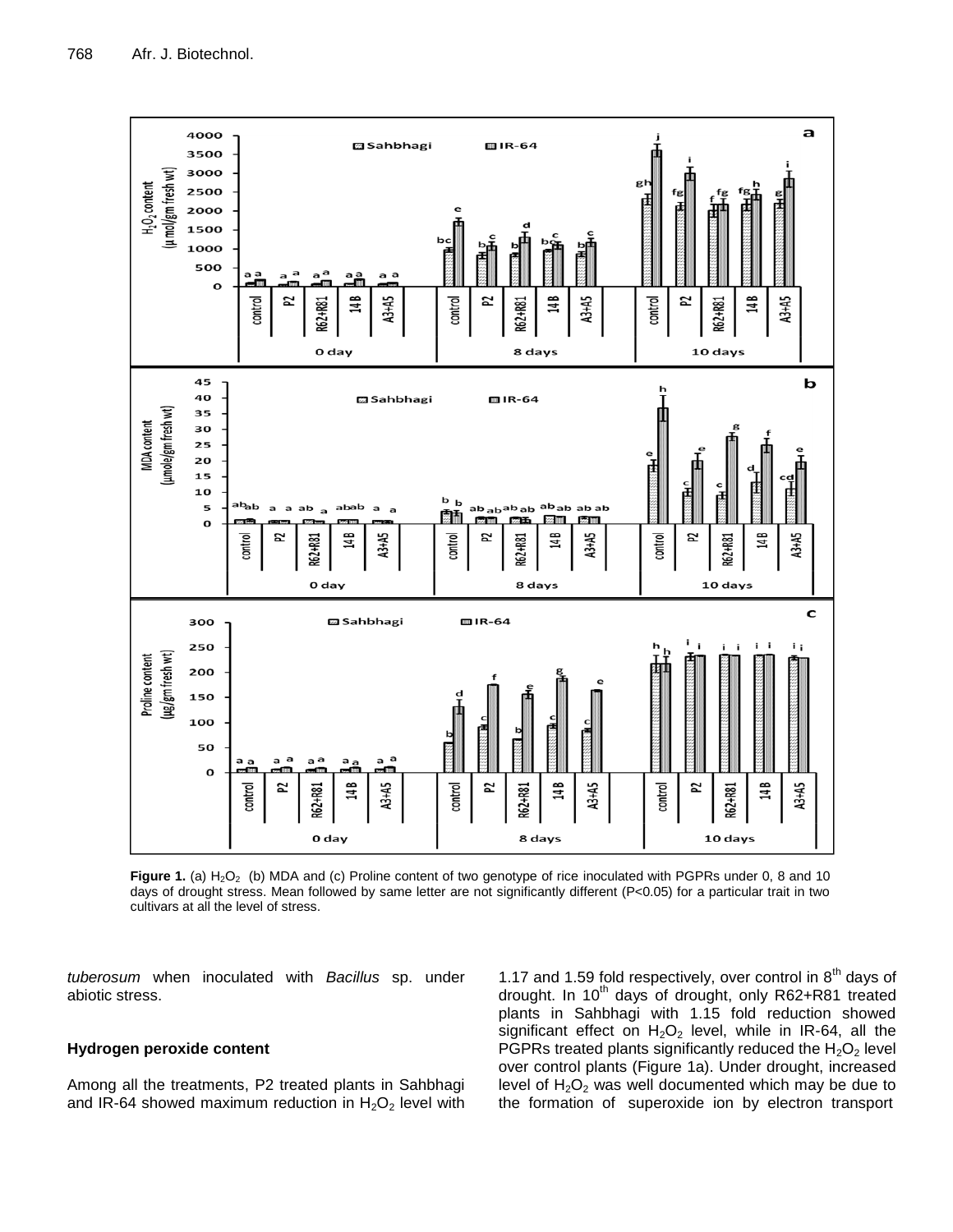

Figure 1. (a) H<sub>2</sub>O<sub>2</sub> (b) MDA and (c) Proline content of two genotype of rice inoculated with PGPRs under 0, 8 and 10 days of drought stress. Mean followed by same letter are not significantly different (P<0.05) for a particular trait in two cultivars at all the level of stress.

*tuberosum* when inoculated with *Bacillus* sp. under abiotic stress.

# **Hydrogen peroxide content**

Among all the treatments, P2 treated plants in Sahbhagi and IR-64 showed maximum reduction in  $H_2O_2$  level with

1.17 and 1.59 fold respectively, over control in  $8<sup>th</sup>$  days of drought. In 10<sup>th</sup> days of drought, only R62+R81 treated plants in Sahbhagi with 1.15 fold reduction showed significant effect on  $H_2O_2$  level, while in IR-64, all the PGPRs treated plants significantly reduced the  $H_2O_2$  level over control plants (Figure 1a). Under drought, increased level of  $H_2O_2$  was well documented which may be due to the formation of superoxide ion by electron transport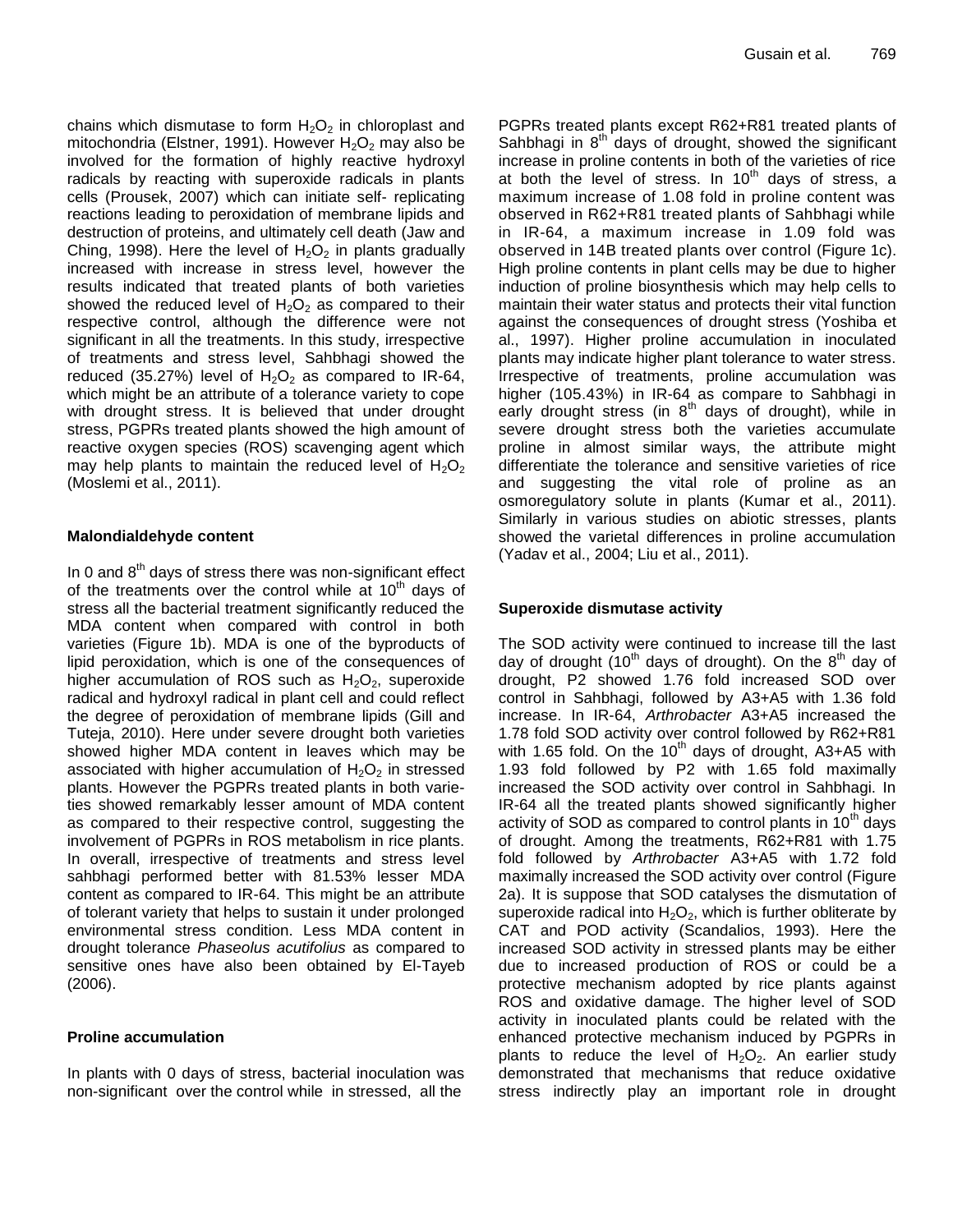chains which dismutase to form  $H_2O_2$  in chloroplast and mitochondria (Elstner, 1991). However  $H_2O_2$  may also be involved for the formation of highly reactive hydroxyl radicals by reacting with superoxide radicals in plants cells (Prousek, 2007) which can initiate self- replicating reactions leading to peroxidation of membrane lipids and destruction of proteins, and ultimately cell death (Jaw and Ching, 1998). Here the level of  $H_2O_2$  in plants gradually increased with increase in stress level, however the results indicated that treated plants of both varieties showed the reduced level of  $H_2O_2$  as compared to their respective control, although the difference were not significant in all the treatments. In this study, irrespective of treatments and stress level, Sahbhagi showed the reduced (35.27%) level of  $H_2O_2$  as compared to IR-64, which might be an attribute of a tolerance variety to cope with drought stress. It is believed that under drought stress, PGPRs treated plants showed the high amount of reactive oxygen species (ROS) scavenging agent which may help plants to maintain the reduced level of  $H_2O_2$ (Moslemi et al., 2011).

# **Malondialdehyde content**

In 0 and  $8<sup>th</sup>$  days of stress there was non-significant effect of the treatments over the control while at  $10<sup>th</sup>$  days of stress all the bacterial treatment significantly reduced the MDA content when compared with control in both varieties (Figure 1b). MDA is one of the byproducts of lipid peroxidation, which is one of the consequences of higher accumulation of ROS such as  $H_2O_2$ , superoxide radical and hydroxyl radical in plant cell and could reflect the degree of peroxidation of membrane lipids (Gill and Tuteja, 2010). Here under severe drought both varieties showed higher MDA content in leaves which may be associated with higher accumulation of  $H_2O_2$  in stressed plants. However the PGPRs treated plants in both varieties showed remarkably lesser amount of MDA content as compared to their respective control, suggesting the involvement of PGPRs in ROS metabolism in rice plants. In overall, irrespective of treatments and stress level sahbhagi performed better with 81.53% lesser MDA content as compared to IR-64. This might be an attribute of tolerant variety that helps to sustain it under prolonged environmental stress condition. Less MDA content in drought tolerance *Phaseolus acutifolius* as compared to sensitive ones have also been obtained by El-Tayeb (2006).

# **Proline accumulation**

In plants with 0 days of stress, bacterial inoculation was non-significant over the control while in stressed, all the

PGPRs treated plants except R62+R81 treated plants of Sahbhagi in  $8<sup>th</sup>$  days of drought, showed the significant increase in proline contents in both of the varieties of rice at both the level of stress. In  $10^{th}$  days of stress, a maximum increase of 1.08 fold in proline content was observed in R62+R81 treated plants of Sahbhagi while in IR-64, a maximum increase in 1.09 fold was observed in 14B treated plants over control (Figure 1c). High proline contents in plant cells may be due to higher induction of proline biosynthesis which may help cells to maintain their water status and protects their vital function against the consequences of drought stress (Yoshiba et al., 1997). Higher proline accumulation in inoculated plants may indicate higher plant tolerance to water stress. Irrespective of treatments, proline accumulation was higher (105.43%) in IR-64 as compare to Sahbhagi in early drought stress (in  $8<sup>th</sup>$  days of drought), while in severe drought stress both the varieties accumulate proline in almost similar ways, the attribute might differentiate the tolerance and sensitive varieties of rice and suggesting the vital role of proline as an osmoregulatory solute in plants (Kumar et al., 2011). Similarly in various studies on abiotic stresses, plants showed the varietal differences in proline accumulation (Yadav et al., 2004; Liu et al., 2011).

# **Superoxide dismutase activity**

The SOD activity were continued to increase till the last day of drought  $(10^{th}$  days of drought). On the  $8^{th}$  day of drought, P2 showed 1.76 fold increased SOD over control in Sahbhagi, followed by A3+A5 with 1.36 fold increase. In IR-64, *Arthrobacter* A3+A5 increased the 1.78 fold SOD activity over control followed by R62+R81 with 1.65 fold. On the 10<sup>th</sup> days of drought, A3+A5 with 1.93 fold followed by P2 with 1.65 fold maximally increased the SOD activity over control in Sahbhagi. In IR-64 all the treated plants showed significantly higher activity of SOD as compared to control plants in  $10<sup>th</sup>$  days of drought. Among the treatments, R62+R81 with 1.75 fold followed by *Arthrobacter* A3+A5 with 1.72 fold maximally increased the SOD activity over control (Figure 2a). It is suppose that SOD catalyses the dismutation of superoxide radical into  $H_2O_2$ , which is further obliterate by CAT and POD activity (Scandalios, 1993). Here the increased SOD activity in stressed plants may be either due to increased production of ROS or could be a protective mechanism adopted by rice plants against ROS and oxidative damage. The higher level of SOD activity in inoculated plants could be related with the enhanced protective mechanism induced by PGPRs in plants to reduce the level of  $H_2O_2$ . An earlier study demonstrated that mechanisms that reduce oxidative stress indirectly play an important role in drought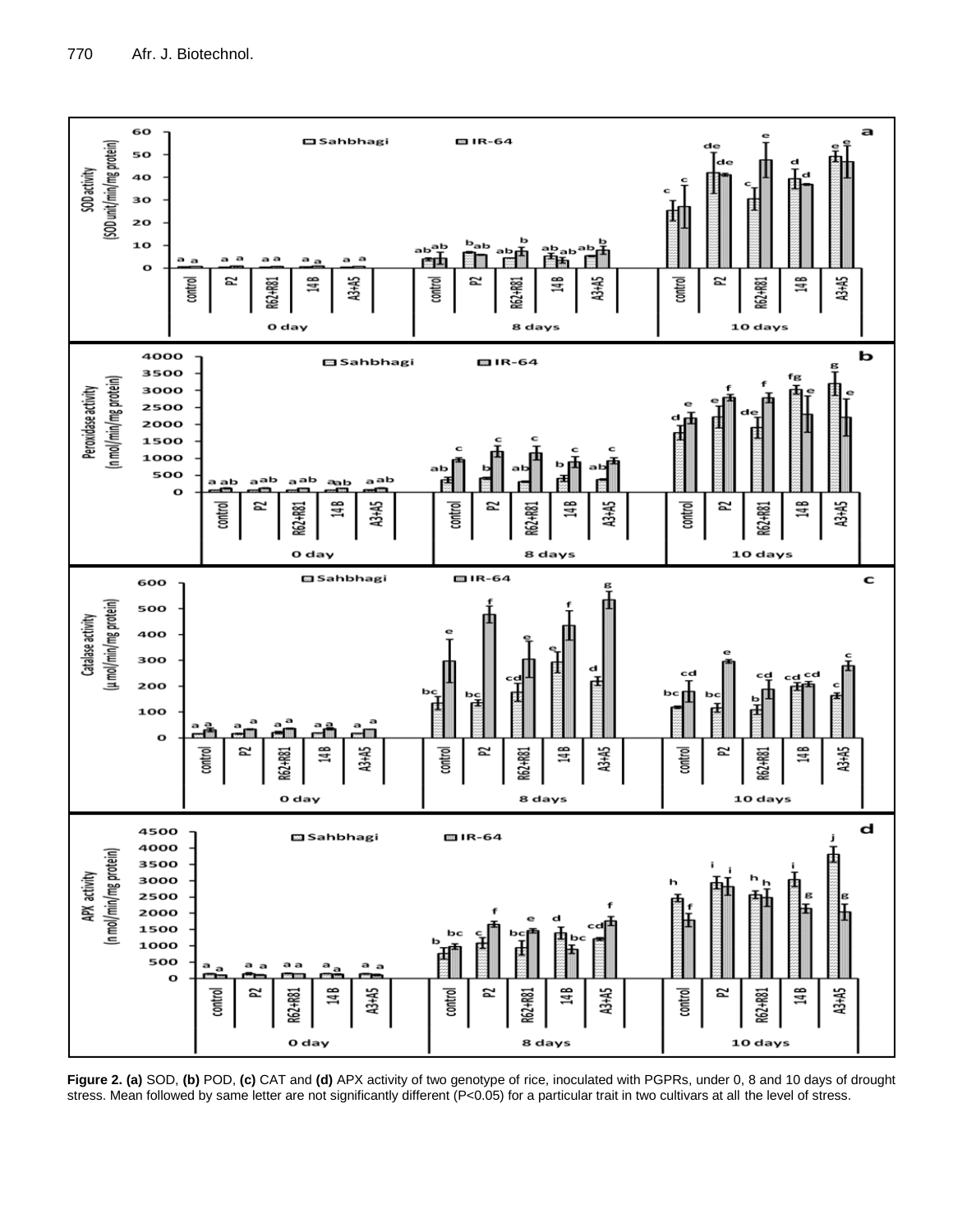

**Figure 2. (a)** SOD, **(b)** POD, **(c)** CAT and **(d)** APX activity of two genotype of rice, inoculated with PGPRs, under 0, 8 and 10 days of drought stress. Mean followed by same letter are not significantly different (P<0.05) for a particular trait in two cultivars at all the level of stress.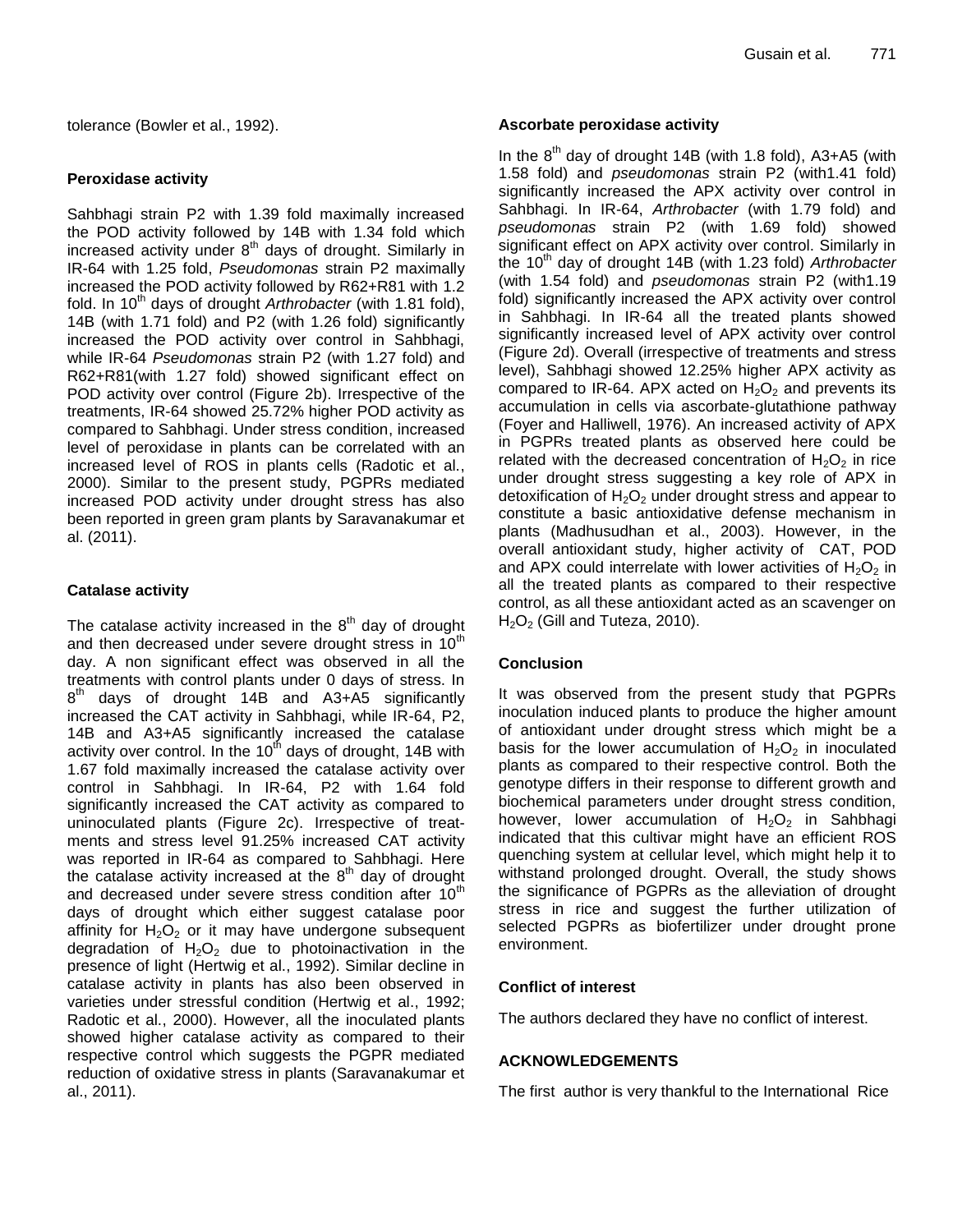tolerance (Bowler et al., 1992).

#### **Peroxidase activity**

Sahbhagi strain P2 with 1.39 fold maximally increased the POD activity followed by 14B with 1.34 fold which increased activity under  $8<sup>th</sup>$  days of drought. Similarly in IR-64 with 1.25 fold, *Pseudomonas* strain P2 maximally increased the POD activity followed by R62+R81 with 1.2 fold. In 10<sup>th</sup> days of drought *Arthrobacter* (with 1.81 fold), 14B (with 1.71 fold) and P2 (with 1.26 fold) significantly increased the POD activity over control in Sahbhagi, while IR-64 *Pseudomonas* strain P2 (with 1.27 fold) and R62+R81(with 1.27 fold) showed significant effect on POD activity over control (Figure 2b). Irrespective of the treatments, IR-64 showed 25.72% higher POD activity as compared to Sahbhagi. Under stress condition, increased level of peroxidase in plants can be correlated with an increased level of ROS in plants cells (Radotic et al., 2000). Similar to the present study, PGPRs mediated increased POD activity under drought stress has also been reported in green gram plants by Saravanakumar et al. (2011).

#### **Catalase activity**

The catalase activity increased in the  $8<sup>th</sup>$  day of drought and then decreased under severe drought stress in  $10<sup>th</sup>$ day. A non significant effect was observed in all the treatments with control plants under 0 days of stress. In  $8<sup>th</sup>$  days of drought 14B and A3+A5 significantly increased the CAT activity in Sahbhagi, while IR-64, P2, 14B and A3+A5 significantly increased the catalase activity over control. In the  $10<sup>th</sup>$  days of drought, 14B with 1.67 fold maximally increased the catalase activity over control in Sahbhagi. In IR-64, P2 with 1.64 fold significantly increased the CAT activity as compared to uninoculated plants (Figure 2c). Irrespective of treatments and stress level 91.25% increased CAT activity was reported in IR-64 as compared to Sahbhagi. Here the catalase activity increased at the  $8<sup>th</sup>$  day of drought and decreased under severe stress condition after 10<sup>th</sup> days of drought which either suggest catalase poor affinity for  $H_2O_2$  or it may have undergone subsequent degradation of  $H_2O_2$  due to photoinactivation in the presence of light (Hertwig et al., 1992). Similar decline in catalase activity in plants has also been observed in varieties under stressful condition (Hertwig et al., 1992; Radotic et al., 2000). However, all the inoculated plants showed higher catalase activity as compared to their respective control which suggests the PGPR mediated reduction of oxidative stress in plants (Saravanakumar et al., 2011).

#### **Ascorbate peroxidase activity**

In the  $8<sup>th</sup>$  day of drought 14B (with 1.8 fold), A3+A5 (with 1.58 fold) and *pseudomonas* strain P2 (with1.41 fold) significantly increased the APX activity over control in Sahbhagi. In IR-64, *Arthrobacter* (with 1.79 fold) and *pseudomonas* strain P2 (with 1.69 fold) showed significant effect on APX activity over control. Similarly in the 10<sup>th</sup> day of drought 14B (with 1.23 fold) *Arthrobacter* (with 1.54 fold) and *pseudomonas* strain P2 (with1.19 fold) significantly increased the APX activity over control in Sahbhagi. In IR-64 all the treated plants showed significantly increased level of APX activity over control (Figure 2d). Overall (irrespective of treatments and stress level), Sahbhagi showed 12.25% higher APX activity as compared to IR-64. APX acted on  $H_2O_2$  and prevents its accumulation in cells via ascorbate-glutathione pathway (Foyer and Halliwell, 1976). An increased activity of APX in PGPRs treated plants as observed here could be related with the decreased concentration of  $H_2O_2$  in rice under drought stress suggesting a key role of APX in detoxification of  $H_2O_2$  under drought stress and appear to constitute a basic antioxidative defense mechanism in plants (Madhusudhan et al., 2003). However, in the overall antioxidant study, higher activity of CAT, POD and APX could interrelate with lower activities of  $H_2O_2$  in all the treated plants as compared to their respective control, as all these antioxidant acted as an scavenger on  $H<sub>2</sub>O<sub>2</sub>$  (Gill and Tuteza, 2010).

# **Conclusion**

It was observed from the present study that PGPRs inoculation induced plants to produce the higher amount of antioxidant under drought stress which might be a basis for the lower accumulation of  $H_2O_2$  in inoculated plants as compared to their respective control. Both the genotype differs in their response to different growth and biochemical parameters under drought stress condition, however, lower accumulation of  $H_2O_2$  in Sahbhagi indicated that this cultivar might have an efficient ROS quenching system at cellular level, which might help it to withstand prolonged drought. Overall, the study shows the significance of PGPRs as the alleviation of drought stress in rice and suggest the further utilization of selected PGPRs as biofertilizer under drought prone environment.

# **Conflict of interest**

The authors declared they have no conflict of interest.

# **ACKNOWLEDGEMENTS**

The first author is very thankful to the International Rice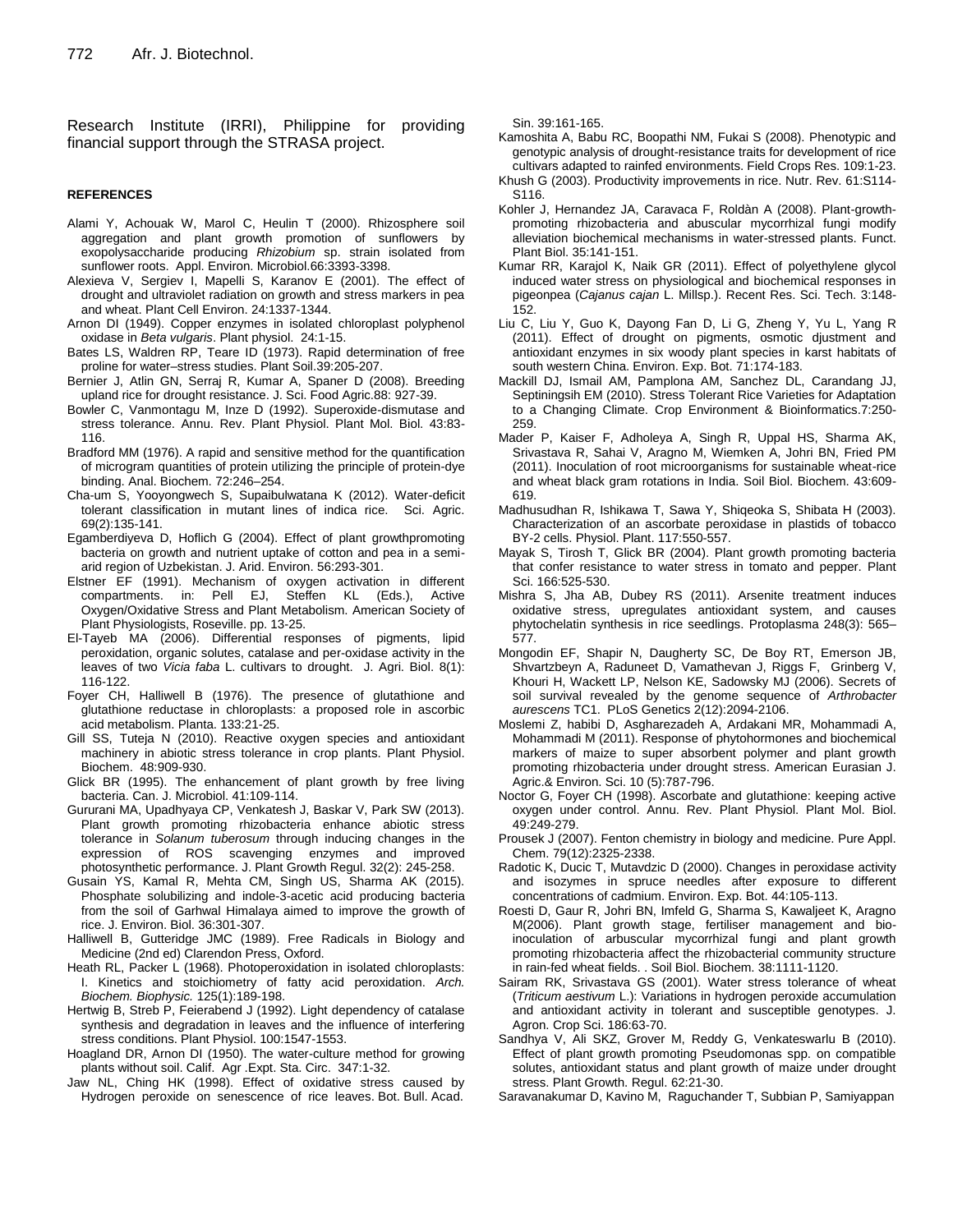Research Institute (IRRI), Philippine for providing financial support through the STRASA project.

#### **REFERENCES**

- Alami Y, Achouak W, Marol C, Heulin T (2000). Rhizosphere soil aggregation and plant growth promotion of sunflowers by exopolysaccharide producing *Rhizobium* sp. strain isolated from sunflower roots. Appl. Environ. Microbiol.66:3393-3398.
- Alexieva V, Sergiev I, Mapelli S, Karanov E (2001). The effect of drought and ultraviolet radiation on growth and stress markers in pea and wheat. Plant Cell Environ. 24:1337-1344.
- Arnon DI (1949). Copper enzymes in isolated chloroplast polyphenol oxidase in *Beta vulgaris*. Plant physiol. 24:1-15.
- Bates LS, Waldren RP, Teare ID (1973). Rapid determination of free proline for water–stress studies. Plant Soil.39:205-207.
- Bernier J, Atlin GN, Serraj R, Kumar A, Spaner D (2008). Breeding upland rice for drought resistance. J. Sci. Food Agric.88: 927-39.
- Bowler C, Vanmontagu M, Inze D (1992). Superoxide-dismutase and stress tolerance. Annu. Rev. Plant Physiol. Plant Mol. Biol. 43:83- 116.
- Bradford MM (1976). A rapid and sensitive method for the quantification of microgram quantities of protein utilizing the principle of protein-dye binding. Anal. Biochem. 72:246–254.
- Cha-um S, Yooyongwech S, Supaibulwatana K (2012). Water-deficit tolerant classification in mutant lines of indica rice. Sci. Agric. 69(2):135-141.
- Egamberdiyeva D, Hoflich G (2004). Effect of plant growthpromoting bacteria on growth and nutrient uptake of cotton and pea in a semiarid region of Uzbekistan. J. Arid. Environ. 56:293-301.
- Elstner EF (1991). Mechanism of oxygen activation in different compartments. in: Pell EJ, Steffen KL (Eds.), Active Oxygen/Oxidative Stress and Plant Metabolism. American Society of Plant Physiologists, Roseville. pp. 13-25.
- El-Tayeb MA (2006). Differential responses of pigments, lipid peroxidation, organic solutes, catalase and per-oxidase activity in the leaves of two *Vicia faba* L. cultivars to drought. J. Agri. Biol. 8(1): 116-122.
- Foyer CH, Halliwell B (1976). The presence of glutathione and glutathione reductase in chloroplasts: a proposed role in ascorbic acid metabolism. Planta. 133:21-25.
- Gill SS, Tuteja N (2010). Reactive oxygen species and antioxidant machinery in abiotic stress tolerance in crop plants. Plant Physiol. Biochem. 48:909-930.
- Glick BR (1995). The enhancement of plant growth by free living bacteria. Can. J. Microbiol. 41:109-114.
- Gururani MA, Upadhyaya CP, Venkatesh J, Baskar V, Park SW (2013). Plant growth promoting rhizobacteria enhance abiotic stress tolerance in *Solanum tuberosum* through inducing changes in the expression of ROS scavenging enzymes and improved photosynthetic performance. J. Plant Growth Regul. 32(2): 245-258.
- Gusain YS, Kamal R, Mehta CM, Singh US, Sharma AK (2015). Phosphate solubilizing and indole-3-acetic acid producing bacteria from the soil of Garhwal Himalaya aimed to improve the growth of rice. J. Environ. Biol. 36:301-307.
- Halliwell B, Gutteridge JMC (1989). Free Radicals in Biology and Medicine (2nd ed) Clarendon Press, Oxford.
- Heath RL, Packer L (1968). Photoperoxidation in isolated chloroplasts: I. Kinetics and stoichiometry of fatty acid peroxidation. *Arch. Biochem. Biophysic.* 125(1):189-198.
- Hertwig B, Streb P, Feierabend J (1992). Light dependency of catalase synthesis and degradation in leaves and the influence of interfering stress conditions. Plant Physiol. 100:1547-1553.
- Hoagland DR, Arnon DI (1950). The water-culture method for growing plants without soil. Calif. Agr .Expt. Sta. Circ. 347:1-32.
- Jaw NL, Ching HK (1998). Effect of oxidative stress caused by Hydrogen peroxide on senescence of rice leaves. Bot. Bull. Acad.

Sin. 39:161-165.

Kamoshita A, Babu RC, Boopathi NM, Fukai S (2008). Phenotypic and genotypic analysis of drought-resistance traits for development of rice cultivars adapted to rainfed environments. Field Crops Res. 109:1-23.

- Khush G (2003). Productivity improvements in rice. Nutr. Rev. 61:S114- S116.
- Kohler J, Hernandez JA, Caravaca F, Roldàn A (2008). Plant-growthpromoting rhizobacteria and abuscular mycorrhizal fungi modify alleviation biochemical mechanisms in water-stressed plants. Funct. Plant Biol. 35:141-151.
- Kumar RR, Karajol K, Naik GR (2011). Effect of polyethylene glycol induced water stress on physiological and biochemical responses in pigeonpea (*Cajanus cajan* L. Millsp.). Recent Res. Sci. Tech. 3:148- 152.
- Liu C, Liu Y, Guo K, Dayong Fan D, Li G, Zheng Y, Yu L, Yang R (2011). Effect of drought on pigments, osmotic djustment and antioxidant enzymes in six woody plant species in karst habitats of south western China. Environ. Exp. Bot. 71:174-183.
- Mackill DJ, Ismail AM, Pamplona AM, Sanchez DL, Carandang JJ, Septiningsih EM (2010). Stress Tolerant Rice Varieties for Adaptation to a Changing Climate. Crop Environment & Bioinformatics.7:250- 259.
- Mader P, Kaiser F, Adholeya A, Singh R, Uppal HS, Sharma AK, Srivastava R, Sahai V, Aragno M, Wiemken A, Johri BN, Fried PM (2011). Inoculation of root microorganisms for sustainable wheat-rice and wheat black gram rotations in India. Soil Biol. Biochem. 43:609- 619.
- Madhusudhan R, Ishikawa T, Sawa Y, Shiqeoka S, Shibata H (2003). Characterization of an ascorbate peroxidase in plastids of tobacco BY-2 cells. Physiol. Plant. 117:550-557.
- Mayak S, Tirosh T, Glick BR (2004). Plant growth promoting bacteria that confer resistance to water stress in tomato and pepper. Plant Sci. 166:525-530.
- Mishra S, Jha AB, Dubey RS (2011). Arsenite treatment induces oxidative stress, upregulates antioxidant system, and causes phytochelatin synthesis in rice seedlings. Protoplasma 248(3): 565– 577.
- Mongodin EF, Shapir N, Daugherty SC, De Boy RT, Emerson JB, Shvartzbeyn A, Raduneet D, Vamathevan J, Riggs F, Grinberg V, Khouri H, Wackett LP, Nelson KE, Sadowsky MJ (2006). Secrets of soil survival revealed by the genome sequence of *Arthrobacter aurescens* TC1. PLoS Genetics 2(12):2094-2106.
- Moslemi Z, habibi D, Asgharezadeh A, Ardakani MR, Mohammadi A, Mohammadi M (2011). Response of phytohormones and biochemical markers of maize to super absorbent polymer and plant growth promoting rhizobacteria under drought stress. American Eurasian J. Agric.& Environ. Sci. 10 (5):787-796.
- Noctor G, Foyer CH (1998). Ascorbate and glutathione: keeping active oxygen under control. Annu. Rev. Plant Physiol. Plant Mol. Biol. 49:249-279.
- Prousek J (2007). Fenton chemistry in biology and medicine. Pure Appl. Chem. 79(12):2325-2338.
- Radotic K, Ducic T, Mutavdzic D (2000). Changes in peroxidase activity and isozymes in spruce needles after exposure to different concentrations of cadmium. Environ. Exp. Bot. 44:105-113.
- Roesti D, Gaur R, Johri BN, Imfeld G, Sharma S, Kawaljeet K, Aragno M(2006). Plant growth stage, fertiliser management and bioinoculation of arbuscular mycorrhizal fungi and plant growth promoting rhizobacteria affect the rhizobacterial community structure in rain-fed wheat fields. . Soil Biol. Biochem. 38:1111-1120.
- Sairam RK, Srivastava GS (2001). Water stress tolerance of wheat (*Triticum aestivum* L.): Variations in hydrogen peroxide accumulation and antioxidant activity in tolerant and susceptible genotypes. J. Agron. Crop Sci. 186:63-70.
- Sandhya V, Ali SKZ, Grover M, Reddy G, Venkateswarlu B (2010). Effect of plant growth promoting Pseudomonas spp. on compatible solutes, antioxidant status and plant growth of maize under drought stress. Plant Growth. Regul. 62:21-30.
- Saravanakumar D, Kavino M, Raguchander T, Subbian P, Samiyappan